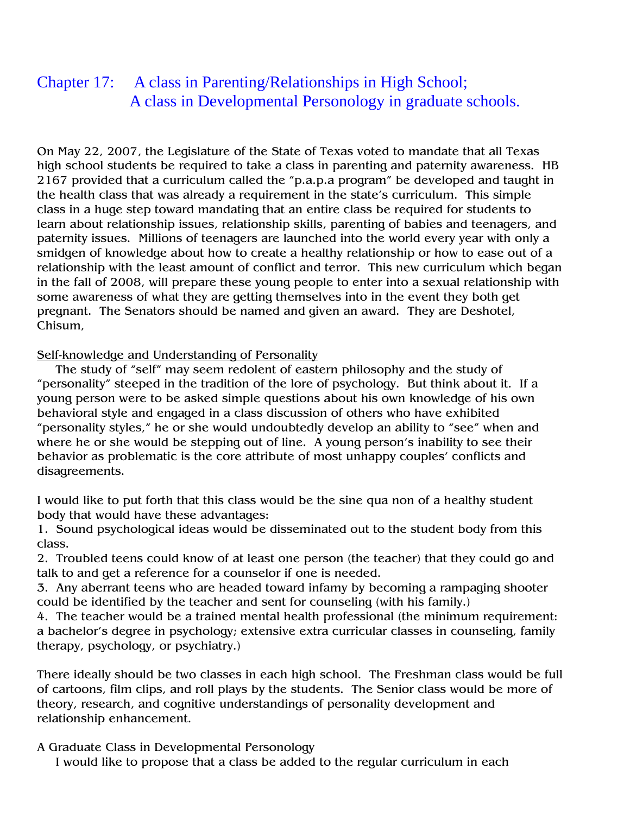## Chapter 17: A class in Parenting/Relationships in High School; A class in Developmental Personology in graduate schools.

On May 22, 2007, the Legislature of the State of Texas voted to mandate that all Texas high school students be required to take a class in parenting and paternity awareness. HB 2167 provided that a curriculum called the "p.a.p.a program" be developed and taught in the health class that was already a requirement in the state's curriculum. This simple class in a huge step toward mandating that an entire class be required for students to learn about relationship issues, relationship skills, parenting of babies and teenagers, and paternity issues. Millions of teenagers are launched into the world every year with only a smidgen of knowledge about how to create a healthy relationship or how to ease out of a relationship with the least amount of conflict and terror. This new curriculum which began in the fall of 2008, will prepare these young people to enter into a sexual relationship with some awareness of what they are getting themselves into in the event they both get pregnant. The Senators should be named and given an award. They are Deshotel, Chisum,

Self-knowledge and Understanding of Personality

 The study of "self" may seem redolent of eastern philosophy and the study of "personality" steeped in the tradition of the lore of psychology. But think about it. If a young person were to be asked simple questions about his own knowledge of his own behavioral style and engaged in a class discussion of others who have exhibited "personality styles," he or she would undoubtedly develop an ability to "see" when and where he or she would be stepping out of line. A young person's inability to see their behavior as problematic is the core attribute of most unhappy couples' conflicts and disagreements.

I would like to put forth that this class would be the sine qua non of a healthy student body that would have these advantages:

1. Sound psychological ideas would be disseminated out to the student body from this class.

2. Troubled teens could know of at least one person (the teacher) that they could go and talk to and get a reference for a counselor if one is needed.

3. Any aberrant teens who are headed toward infamy by becoming a rampaging shooter could be identified by the teacher and sent for counseling (with his family.)

4. The teacher would be a trained mental health professional (the minimum requirement: a bachelor's degree in psychology; extensive extra curricular classes in counseling, family therapy, psychology, or psychiatry.)

There ideally should be two classes in each high school. The Freshman class would be full of cartoons, film clips, and roll plays by the students. The Senior class would be more of theory, research, and cognitive understandings of personality development and relationship enhancement.

A Graduate Class in Developmental Personology

I would like to propose that a class be added to the regular curriculum in each